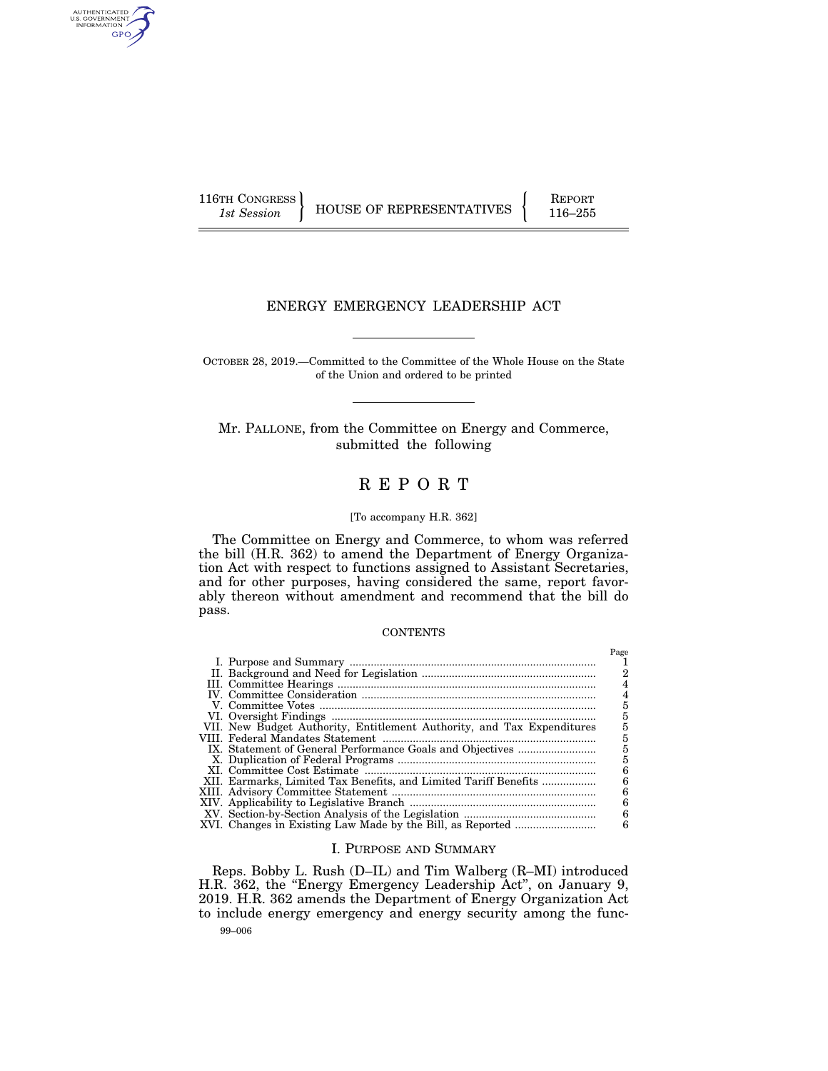AUTHENTICATED<br>U.S. GOVERNMENT<br>INFORMATION GPO

116TH CONGRESS HOUSE OF REPRESENTATIVES FEPORT 116–255

## ENERGY EMERGENCY LEADERSHIP ACT

OCTOBER 28, 2019.—Committed to the Committee of the Whole House on the State of the Union and ordered to be printed

Mr. PALLONE, from the Committee on Energy and Commerce, submitted the following

# R E P O R T

#### [To accompany H.R. 362]

The Committee on Energy and Commerce, to whom was referred the bill (H.R. 362) to amend the Department of Energy Organization Act with respect to functions assigned to Assistant Secretaries, and for other purposes, having considered the same, report favorably thereon without amendment and recommend that the bill do pass.

## **CONTENTS**

|                                                                        | Page |
|------------------------------------------------------------------------|------|
|                                                                        |      |
|                                                                        | 2    |
|                                                                        |      |
|                                                                        |      |
|                                                                        |      |
|                                                                        |      |
| VII. New Budget Authority, Entitlement Authority, and Tax Expenditures |      |
|                                                                        | 5    |
|                                                                        | 5    |
|                                                                        | 5    |
|                                                                        | 6    |
| XII. Earmarks, Limited Tax Benefits, and Limited Tariff Benefits       | 6    |
|                                                                        | 6    |
|                                                                        | 6    |
|                                                                        | 6    |
|                                                                        | 6    |

## I. PURPOSE AND SUMMARY

99–006 Reps. Bobby L. Rush (D–IL) and Tim Walberg (R–MI) introduced H.R. 362, the ''Energy Emergency Leadership Act'', on January 9, 2019. H.R. 362 amends the Department of Energy Organization Act to include energy emergency and energy security among the func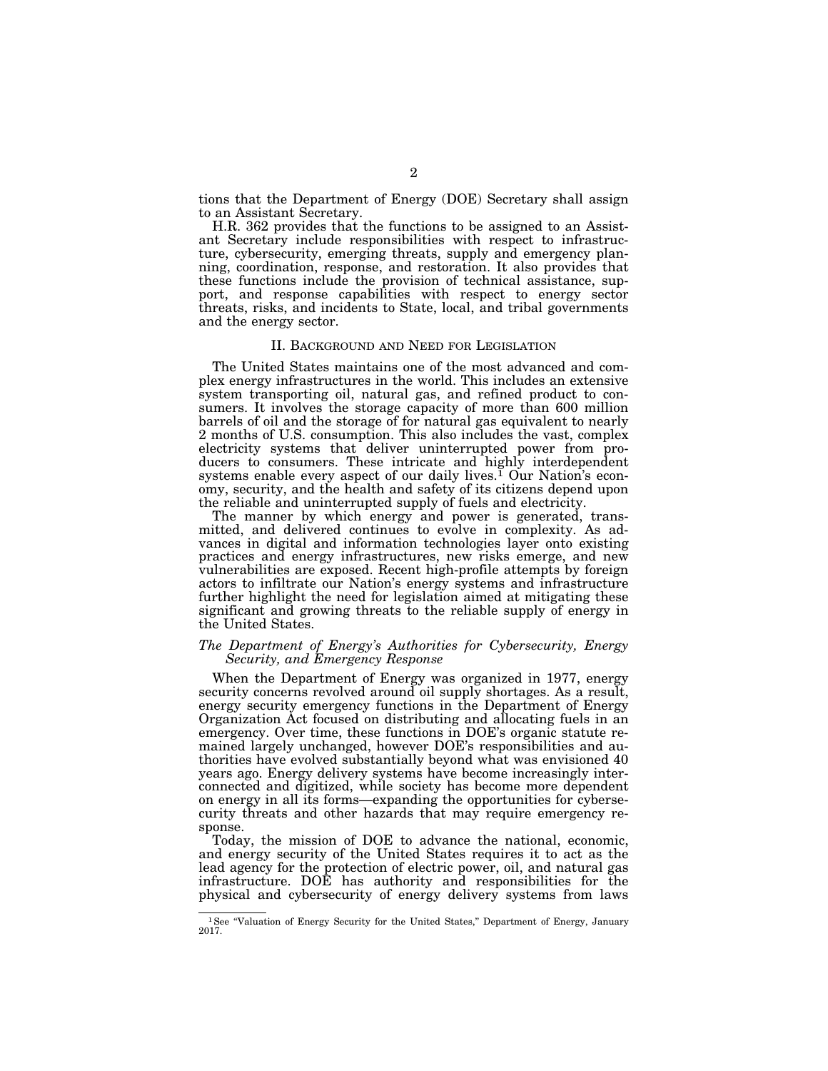tions that the Department of Energy (DOE) Secretary shall assign to an Assistant Secretary.

H.R. 362 provides that the functions to be assigned to an Assistant Secretary include responsibilities with respect to infrastructure, cybersecurity, emerging threats, supply and emergency planning, coordination, response, and restoration. It also provides that these functions include the provision of technical assistance, support, and response capabilities with respect to energy sector threats, risks, and incidents to State, local, and tribal governments and the energy sector.

#### II. BACKGROUND AND NEED FOR LEGISLATION

The United States maintains one of the most advanced and complex energy infrastructures in the world. This includes an extensive system transporting oil, natural gas, and refined product to consumers. It involves the storage capacity of more than 600 million barrels of oil and the storage of for natural gas equivalent to nearly 2 months of U.S. consumption. This also includes the vast, complex electricity systems that deliver uninterrupted power from producers to consumers. These intricate and highly interdependent systems enable every aspect of our daily lives.<sup>1</sup> Our Nation's economy, security, and the health and safety of its citizens depend upon the reliable and uninterrupted supply of fuels and electricity.

The manner by which energy and power is generated, transmitted, and delivered continues to evolve in complexity. As advances in digital and information technologies layer onto existing practices and energy infrastructures, new risks emerge, and new vulnerabilities are exposed. Recent high-profile attempts by foreign actors to infiltrate our Nation's energy systems and infrastructure further highlight the need for legislation aimed at mitigating these significant and growing threats to the reliable supply of energy in the United States.

## *The Department of Energy's Authorities for Cybersecurity, Energy Security, and Emergency Response*

When the Department of Energy was organized in 1977, energy security concerns revolved around oil supply shortages. As a result, energy security emergency functions in the Department of Energy Organization Act focused on distributing and allocating fuels in an emergency. Over time, these functions in DOE's organic statute remained largely unchanged, however DOE's responsibilities and authorities have evolved substantially beyond what was envisioned 40 years ago. Energy delivery systems have become increasingly interconnected and digitized, while society has become more dependent on energy in all its forms—expanding the opportunities for cybersecurity threats and other hazards that may require emergency response.

Today, the mission of DOE to advance the national, economic, and energy security of the United States requires it to act as the lead agency for the protection of electric power, oil, and natural gas infrastructure. DOE has authority and responsibilities for the physical and cybersecurity of energy delivery systems from laws

<sup>&</sup>lt;sup>1</sup>See "Valuation of Energy Security for the United States," Department of Energy, January 2017.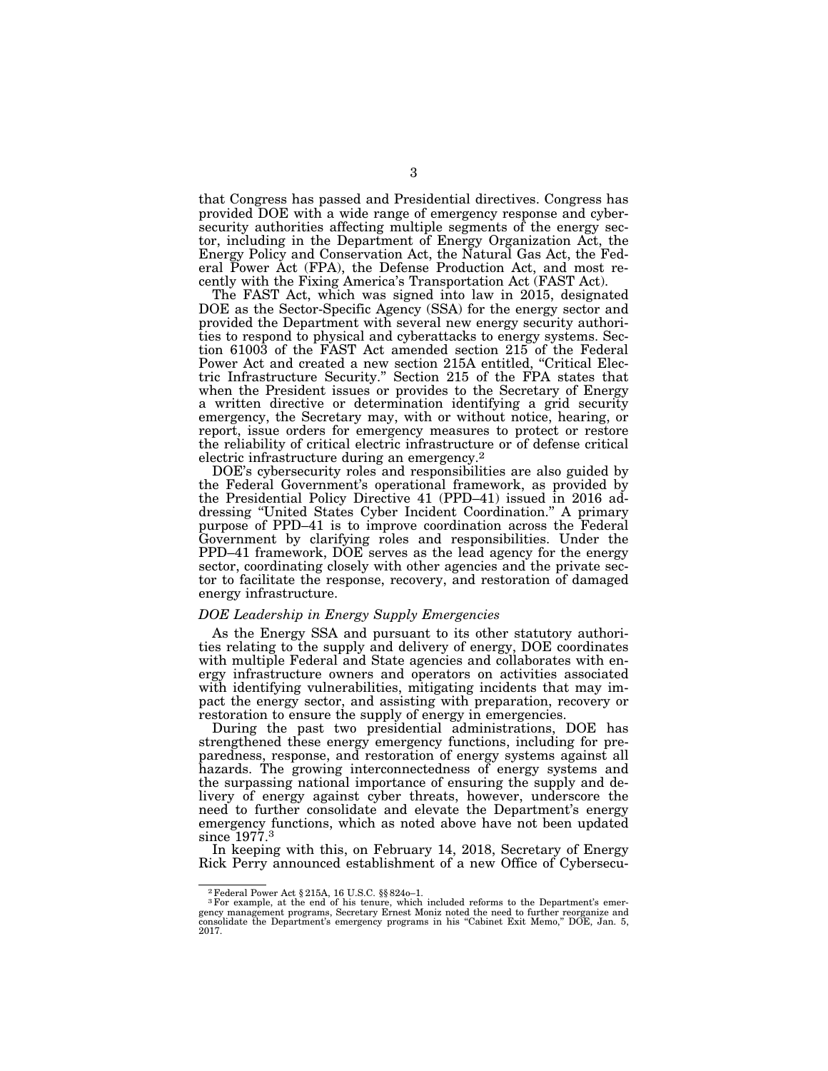that Congress has passed and Presidential directives. Congress has provided DOE with a wide range of emergency response and cybersecurity authorities affecting multiple segments of the energy sector, including in the Department of Energy Organization Act, the Energy Policy and Conservation Act, the Natural Gas Act, the Federal Power Act (FPA), the Defense Production Act, and most recently with the Fixing America's Transportation Act (FAST Act).

The FAST Act, which was signed into law in 2015, designated DOE as the Sector-Specific Agency (SSA) for the energy sector and provided the Department with several new energy security authorities to respond to physical and cyberattacks to energy systems. Section 61003 of the FAST Act amended section 215 of the Federal Power Act and created a new section 215A entitled, ''Critical Electric Infrastructure Security.'' Section 215 of the FPA states that when the President issues or provides to the Secretary of Energy a written directive or determination identifying a grid security emergency, the Secretary may, with or without notice, hearing, or report, issue orders for emergency measures to protect or restore the reliability of critical electric infrastructure or of defense critical electric infrastructure during an emergency.2

DOE's cybersecurity roles and responsibilities are also guided by the Federal Government's operational framework, as provided by the Presidential Policy Directive 41 (PPD–41) issued in 2016 addressing ''United States Cyber Incident Coordination.'' A primary purpose of PPD–41 is to improve coordination across the Federal Government by clarifying roles and responsibilities. Under the PPD–41 framework, DOE serves as the lead agency for the energy sector, coordinating closely with other agencies and the private sector to facilitate the response, recovery, and restoration of damaged energy infrastructure.

## *DOE Leadership in Energy Supply Emergencies*

As the Energy SSA and pursuant to its other statutory authorities relating to the supply and delivery of energy, DOE coordinates with multiple Federal and State agencies and collaborates with energy infrastructure owners and operators on activities associated with identifying vulnerabilities, mitigating incidents that may impact the energy sector, and assisting with preparation, recovery or restoration to ensure the supply of energy in emergencies.

During the past two presidential administrations, DOE has strengthened these energy emergency functions, including for preparedness, response, and restoration of energy systems against all hazards. The growing interconnectedness of energy systems and the surpassing national importance of ensuring the supply and delivery of energy against cyber threats, however, underscore the need to further consolidate and elevate the Department's energy emergency functions, which as noted above have not been updated since 1977.3

In keeping with this, on February 14, 2018, Secretary of Energy Rick Perry announced establishment of a new Office of Cybersecu-

<sup>2</sup>Federal Power Act § 215A, 16 U.S.C. §§ 824o–1.

<sup>3</sup>For example, at the end of his tenure, which included reforms to the Department's emergency management programs, Secretary Ernest Moniz noted the need to further reorganize and consolidate the Department's emergency programs in his ''Cabinet Exit Memo,'' DOE, Jan. 5, 2017.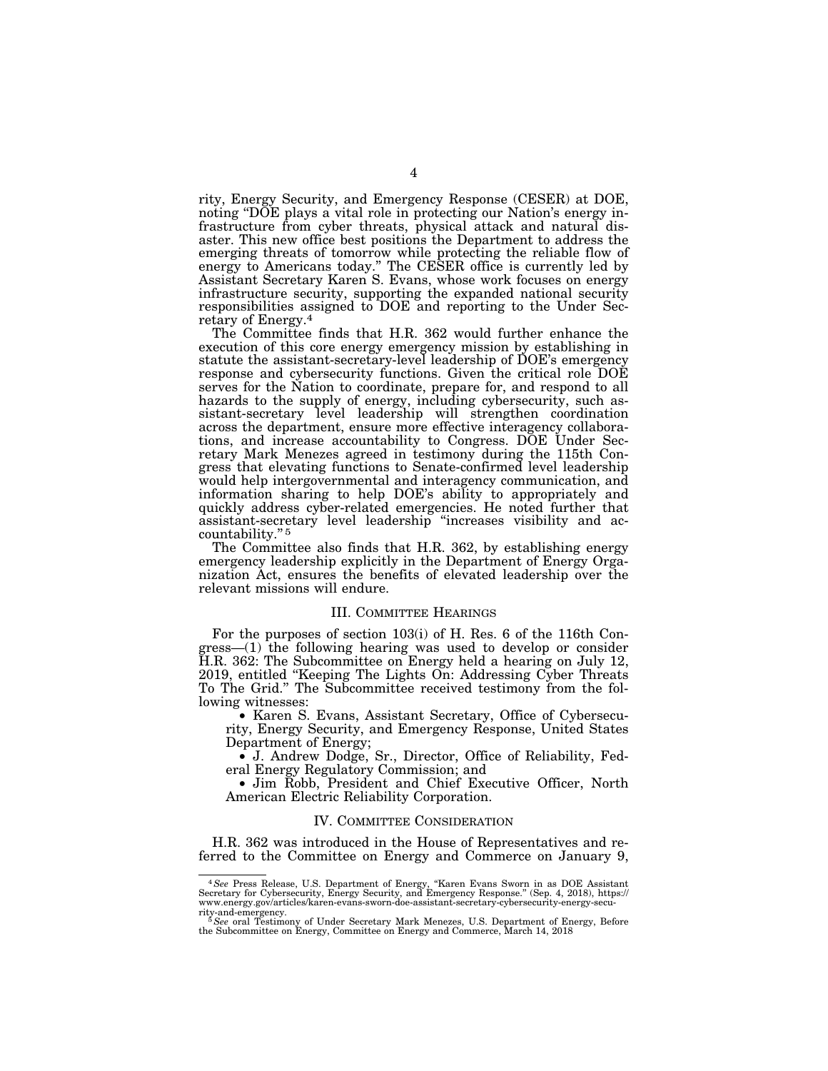rity, Energy Security, and Emergency Response (CESER) at DOE, noting ''DOE plays a vital role in protecting our Nation's energy infrastructure from cyber threats, physical attack and natural disaster. This new office best positions the Department to address the emerging threats of tomorrow while protecting the reliable flow of energy to Americans today.'' The CESER office is currently led by Assistant Secretary Karen S. Evans, whose work focuses on energy infrastructure security, supporting the expanded national security responsibilities assigned to DOE and reporting to the Under Secretary of Energy.4

The Committee finds that H.R. 362 would further enhance the execution of this core energy emergency mission by establishing in statute the assistant-secretary-level leadership of DOE's emergency response and cybersecurity functions. Given the critical role DOE serves for the Nation to coordinate, prepare for, and respond to all hazards to the supply of energy, including cybersecurity, such assistant-secretary level leadership will strengthen coordination across the department, ensure more effective interagency collaborations, and increase accountability to Congress. DOE Under Secretary Mark Menezes agreed in testimony during the 115th Congress that elevating functions to Senate-confirmed level leadership would help intergovernmental and interagency communication, and information sharing to help DOE's ability to appropriately and quickly address cyber-related emergencies. He noted further that assistant-secretary level leadership ''increases visibility and accountability."<sup>5</sup>

The Committee also finds that H.R. 362, by establishing energy emergency leadership explicitly in the Department of Energy Organization Act, ensures the benefits of elevated leadership over the relevant missions will endure.

#### III. COMMITTEE HEARINGS

For the purposes of section 103(i) of H. Res. 6 of the 116th Congress—(1) the following hearing was used to develop or consider H.R. 362: The Subcommittee on Energy held a hearing on July 12, 2019, entitled ''Keeping The Lights On: Addressing Cyber Threats To The Grid." The Subcommittee received testimony from the following witnesses:

• Karen S. Evans, Assistant Secretary, Office of Cybersecurity, Energy Security, and Emergency Response, United States Department of Energy;

• J. Andrew Dodge, Sr., Director, Office of Reliability, Federal Energy Regulatory Commission; and

• Jim Robb, President and Chief Executive Officer, North American Electric Reliability Corporation.

### IV. COMMITTEE CONSIDERATION

H.R. 362 was introduced in the House of Representatives and referred to the Committee on Energy and Commerce on January 9,

 $4\,See$  Press Release, U.S. Department of Energy, "Karen Evans Sworn in as DOE Assistant Secretary for Cybersecurity, Energy Security, and Emergency Response." (Sep. 4, 2018), https://www.energy.gov/articles/karen-evans-s

rity-and-emergency.<br><sup>5</sup> See oral Testimony of Under Secretary Mark Menezes, U.S. Department of Energy, Before<br><sup>the </sup>Subcommittee on Energy, Committee on Energy and Commerce, March 14, 2018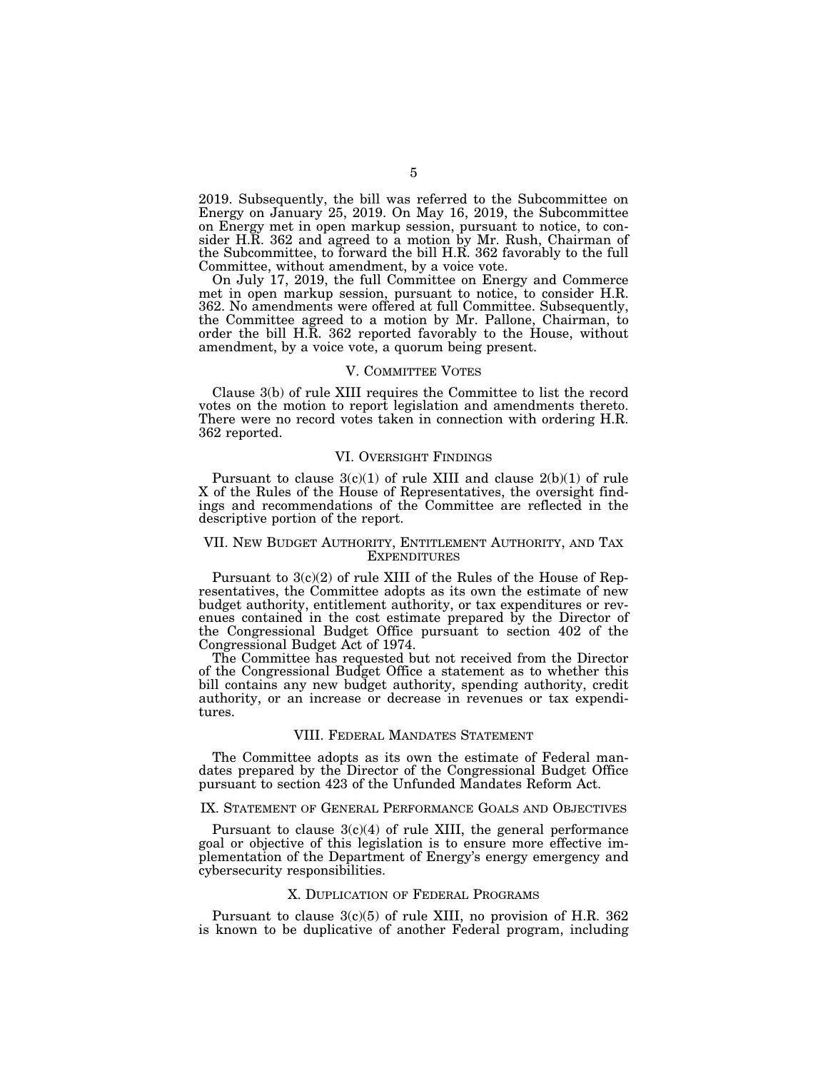2019. Subsequently, the bill was referred to the Subcommittee on Energy on January 25, 2019. On May 16, 2019, the Subcommittee on Energy met in open markup session, pursuant to notice, to consider H.R. 362 and agreed to a motion by Mr. Rush, Chairman of the Subcommittee, to forward the bill H.R. 362 favorably to the full Committee, without amendment, by a voice vote.

On July 17, 2019, the full Committee on Energy and Commerce met in open markup session, pursuant to notice, to consider H.R. 362. No amendments were offered at full Committee. Subsequently, the Committee agreed to a motion by Mr. Pallone, Chairman, to order the bill H.R. 362 reported favorably to the House, without amendment, by a voice vote, a quorum being present.

### V. COMMITTEE VOTES

Clause 3(b) of rule XIII requires the Committee to list the record votes on the motion to report legislation and amendments thereto. There were no record votes taken in connection with ordering H.R. 362 reported.

#### VI. OVERSIGHT FINDINGS

Pursuant to clause  $3(c)(1)$  of rule XIII and clause  $2(b)(1)$  of rule X of the Rules of the House of Representatives, the oversight findings and recommendations of the Committee are reflected in the descriptive portion of the report.

## VII. NEW BUDGET AUTHORITY, ENTITLEMENT AUTHORITY, AND TAX EXPENDITURES

Pursuant to 3(c)(2) of rule XIII of the Rules of the House of Representatives, the Committee adopts as its own the estimate of new budget authority, entitlement authority, or tax expenditures or revenues contained in the cost estimate prepared by the Director of the Congressional Budget Office pursuant to section 402 of the Congressional Budget Act of 1974.

The Committee has requested but not received from the Director of the Congressional Budget Office a statement as to whether this bill contains any new budget authority, spending authority, credit authority, or an increase or decrease in revenues or tax expenditures.

### VIII. FEDERAL MANDATES STATEMENT

The Committee adopts as its own the estimate of Federal mandates prepared by the Director of the Congressional Budget Office pursuant to section 423 of the Unfunded Mandates Reform Act.

## IX. STATEMENT OF GENERAL PERFORMANCE GOALS AND OBJECTIVES

Pursuant to clause  $3(c)(4)$  of rule XIII, the general performance goal or objective of this legislation is to ensure more effective implementation of the Department of Energy's energy emergency and cybersecurity responsibilities.

#### X. DUPLICATION OF FEDERAL PROGRAMS

Pursuant to clause  $3(c)(5)$  of rule XIII, no provision of H.R.  $362$ is known to be duplicative of another Federal program, including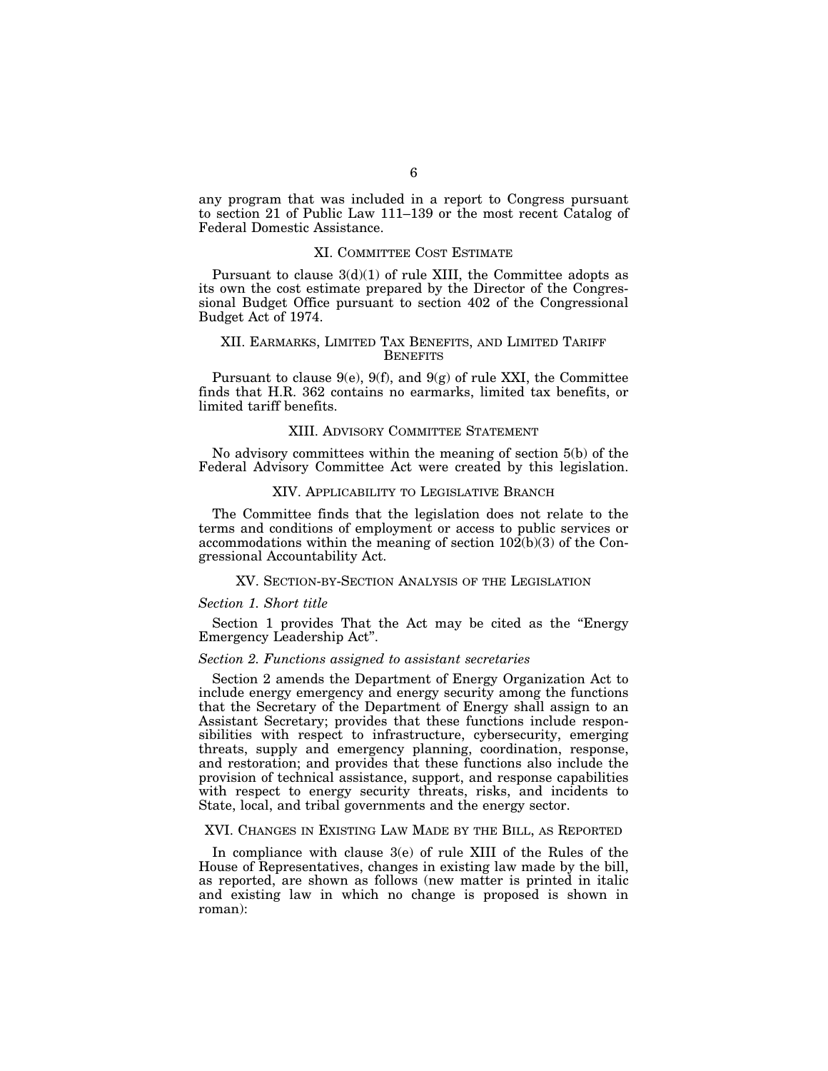any program that was included in a report to Congress pursuant to section 21 of Public Law 111–139 or the most recent Catalog of Federal Domestic Assistance.

## XI. COMMITTEE COST ESTIMATE

Pursuant to clause  $3(d)(1)$  of rule XIII, the Committee adopts as its own the cost estimate prepared by the Director of the Congressional Budget Office pursuant to section 402 of the Congressional Budget Act of 1974.

### XII. EARMARKS, LIMITED TAX BENEFITS, AND LIMITED TARIFF **BENEFITS**

Pursuant to clause  $9(e)$ ,  $9(f)$ , and  $9(g)$  of rule XXI, the Committee finds that H.R. 362 contains no earmarks, limited tax benefits, or limited tariff benefits.

## XIII. ADVISORY COMMITTEE STATEMENT

No advisory committees within the meaning of section 5(b) of the Federal Advisory Committee Act were created by this legislation.

### XIV. APPLICABILITY TO LEGISLATIVE BRANCH

The Committee finds that the legislation does not relate to the terms and conditions of employment or access to public services or accommodations within the meaning of section  $10\overline{2(b)(3)}$  of the Congressional Accountability Act.

## XV. SECTION-BY-SECTION ANALYSIS OF THE LEGISLATION

### *Section 1. Short title*

Section 1 provides That the Act may be cited as the ''Energy Emergency Leadership Act''.

## *Section 2. Functions assigned to assistant secretaries*

Section 2 amends the Department of Energy Organization Act to include energy emergency and energy security among the functions that the Secretary of the Department of Energy shall assign to an Assistant Secretary; provides that these functions include responsibilities with respect to infrastructure, cybersecurity, emerging threats, supply and emergency planning, coordination, response, and restoration; and provides that these functions also include the provision of technical assistance, support, and response capabilities with respect to energy security threats, risks, and incidents to State, local, and tribal governments and the energy sector.

#### XVI. CHANGES IN EXISTING LAW MADE BY THE BILL, AS REPORTED

In compliance with clause 3(e) of rule XIII of the Rules of the House of Representatives, changes in existing law made by the bill, as reported, are shown as follows (new matter is printed in italic and existing law in which no change is proposed is shown in roman):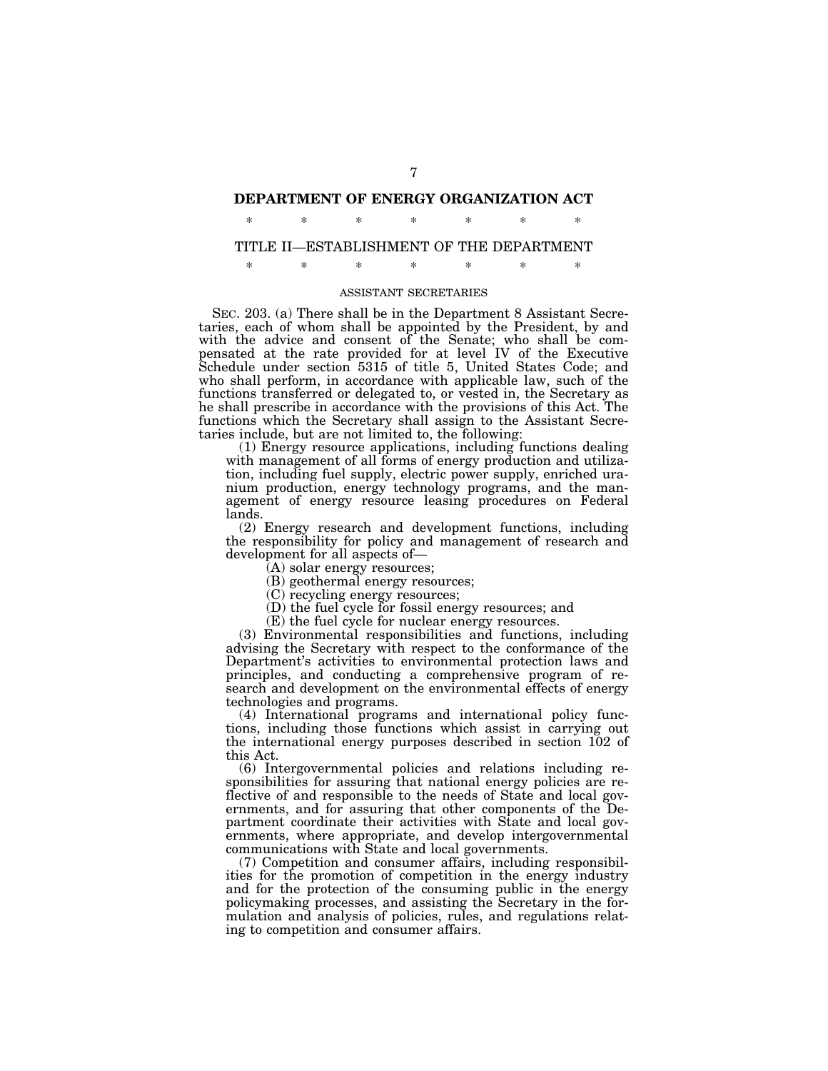## **DEPARTMENT OF ENERGY ORGANIZATION ACT**

\* \* \* \* \* \* \*

## TITLE II—ESTABLISHMENT OF THE DEPARTMENT

\* \* \* \* \* \* \*

#### ASSISTANT SECRETARIES

SEC. 203. (a) There shall be in the Department 8 Assistant Secretaries, each of whom shall be appointed by the President, by and with the advice and consent of the Senate; who shall be compensated at the rate provided for at level IV of the Executive Schedule under section 5315 of title 5, United States Code; and who shall perform, in accordance with applicable law, such of the functions transferred or delegated to, or vested in, the Secretary as he shall prescribe in accordance with the provisions of this Act. The functions which the Secretary shall assign to the Assistant Secretaries include, but are not limited to, the following:

(1) Energy resource applications, including functions dealing with management of all forms of energy production and utilization, including fuel supply, electric power supply, enriched uranium production, energy technology programs, and the management of energy resource leasing procedures on Federal lands.

(2) Energy research and development functions, including the responsibility for policy and management of research and development for all aspects of—

(A) solar energy resources;

(B) geothermal energy resources;

(C) recycling energy resources;

(D) the fuel cycle for fossil energy resources; and

(E) the fuel cycle for nuclear energy resources.

(3) Environmental responsibilities and functions, including advising the Secretary with respect to the conformance of the Department's activities to environmental protection laws and principles, and conducting a comprehensive program of research and development on the environmental effects of energy technologies and programs.

(4) International programs and international policy functions, including those functions which assist in carrying out the international energy purposes described in section 102 of this Act.

(6) Intergovernmental policies and relations including responsibilities for assuring that national energy policies are reflective of and responsible to the needs of State and local governments, and for assuring that other components of the Department coordinate their activities with State and local governments, where appropriate, and develop intergovernmental communications with State and local governments.

(7) Competition and consumer affairs, including responsibilities for the promotion of competition in the energy industry and for the protection of the consuming public in the energy policymaking processes, and assisting the Secretary in the formulation and analysis of policies, rules, and regulations relating to competition and consumer affairs.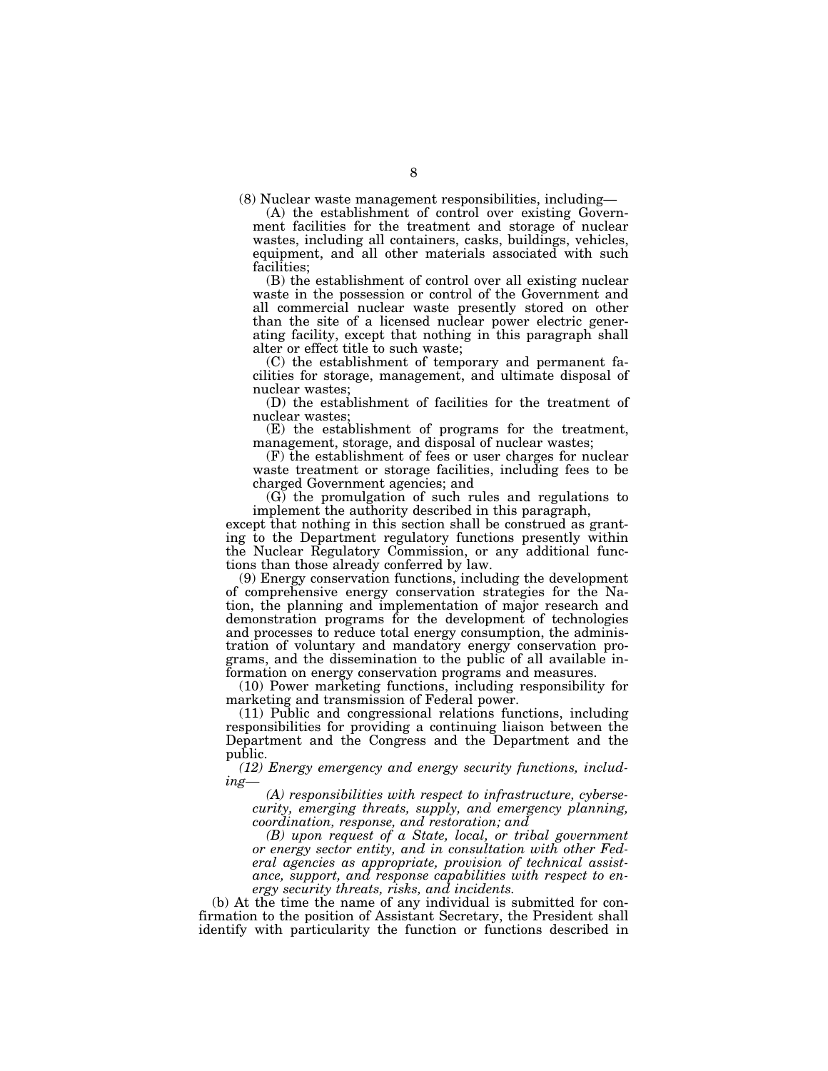(8) Nuclear waste management responsibilities, including—

(A) the establishment of control over existing Government facilities for the treatment and storage of nuclear wastes, including all containers, casks, buildings, vehicles, equipment, and all other materials associated with such facilities;

(B) the establishment of control over all existing nuclear waste in the possession or control of the Government and all commercial nuclear waste presently stored on other than the site of a licensed nuclear power electric generating facility, except that nothing in this paragraph shall alter or effect title to such waste;

(C) the establishment of temporary and permanent facilities for storage, management, and ultimate disposal of nuclear wastes;

(D) the establishment of facilities for the treatment of nuclear wastes;

(E) the establishment of programs for the treatment, management, storage, and disposal of nuclear wastes;

(F) the establishment of fees or user charges for nuclear waste treatment or storage facilities, including fees to be charged Government agencies; and

(G) the promulgation of such rules and regulations to implement the authority described in this paragraph,

except that nothing in this section shall be construed as granting to the Department regulatory functions presently within the Nuclear Regulatory Commission, or any additional functions than those already conferred by law.

(9) Energy conservation functions, including the development of comprehensive energy conservation strategies for the Nation, the planning and implementation of major research and demonstration programs for the development of technologies and processes to reduce total energy consumption, the administration of voluntary and mandatory energy conservation programs, and the dissemination to the public of all available information on energy conservation programs and measures.

(10) Power marketing functions, including responsibility for marketing and transmission of Federal power.

(11) Public and congressional relations functions, including responsibilities for providing a continuing liaison between the Department and the Congress and the Department and the public.

*(12) Energy emergency and energy security functions, including—* 

*(A) responsibilities with respect to infrastructure, cybersecurity, emerging threats, supply, and emergency planning, coordination, response, and restoration; and* 

*(B) upon request of a State, local, or tribal government or energy sector entity, and in consultation with other Federal agencies as appropriate, provision of technical assistance, support, and response capabilities with respect to energy security threats, risks, and incidents.* 

(b) At the time the name of any individual is submitted for confirmation to the position of Assistant Secretary, the President shall identify with particularity the function or functions described in